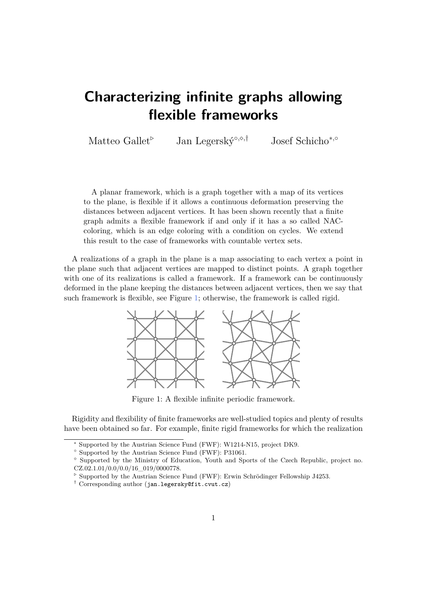## **Characterizing infinite graphs allowing flexible frameworks**

Matteo Gallet<sup>⊳</sup> Jan Legerský<sup>∘,◇,†</sup> Josef Schicho<sup>\*,</sup>°

A planar framework, which is a graph together with a map of its vertices to the plane, is flexible if it allows a continuous deformation preserving the distances between adjacent vertices. It has been shown recently that a finite graph admits a flexible framework if and only if it has a so called NACcoloring, which is an edge coloring with a condition on cycles. We extend this result to the case of frameworks with countable vertex sets.

<span id="page-0-0"></span>A realizations of a graph in the plane is a map associating to each vertex a point in the plane such that adjacent vertices are mapped to distinct points. A graph together with one of its realizations is called a framework. If a framework can be continuously deformed in the plane keeping the distances between adjacent vertices, then we say that such framework is flexible, see Figure [1;](#page-0-0) otherwise, the framework is called rigid.



Figure 1: A flexible infinite periodic framework.

Rigidity and flexibility of finite frameworks are well-studied topics and plenty of results have been obtained so far. For example, finite rigid frameworks for which the realization

<sup>∗</sup> Supported by the Austrian Science Fund (FWF): W1214-N15, project DK9.

<sup>◦</sup> Supported by the Austrian Science Fund (FWF): P31061.

Supported by the Ministry of Education, Youth and Sports of the Czech Republic, project no. CZ.02.1.01/0.0/0.0/16\_019/0000778.

*<sup>.</sup>* Supported by the Austrian Science Fund (FWF): Erwin Schrödinger Fellowship J4253.

<sup>†</sup> Corresponding author (jan.legersky@fit.cvut.cz)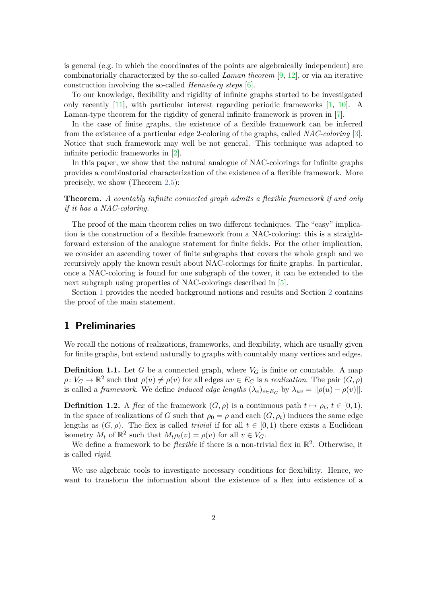is general (e.g. in which the coordinates of the points are algebraically independent) are combinatorially characterized by the so-called *Laman theorem* [\[9,](#page-6-0) [12\]](#page-7-0), or via an iterative construction involving the so-called *Henneberg steps* [\[6\]](#page-6-1).

To our knowledge, flexibility and rigidity of infinite graphs started to be investigated only recently [\[11\]](#page-7-1), with particular interest regarding periodic frameworks [\[1,](#page-6-2) [10\]](#page-6-3). A Laman-type theorem for the rigidity of general infinite framework is proven in [\[7\]](#page-6-4).

In the case of finite graphs, the existence of a flexible framework can be inferred from the existence of a particular edge 2-coloring of the graphs, called *NAC-coloring* [\[3\]](#page-6-5). Notice that such framework may well be not general. This technique was adapted to infinite periodic frameworks in [\[2\]](#page-6-6).

In this paper, we show that the natural analogue of NAC-colorings for infinite graphs provides a combinatorial characterization of the existence of a flexible framework. More precisely, we show (Theorem [2.5\)](#page-5-0):

**Theorem.** *A countably infinite connected graph admits a flexible framework if and only if it has a NAC-coloring.*

The proof of the main theorem relies on two different techniques. The "easy" implication is the construction of a flexible framework from a NAC-coloring: this is a straightforward extension of the analogue statement for finite fields. For the other implication, we consider an ascending tower of finite subgraphs that covers the whole graph and we recursively apply the known result about NAC-colorings for finite graphs. In particular, once a NAC-coloring is found for one subgraph of the tower, it can be extended to the next subgraph using properties of NAC-colorings described in [\[5\]](#page-6-7).

Section [1](#page-1-0) provides the needed background notions and results and Section [2](#page-3-0) contains the proof of the main statement.

## <span id="page-1-0"></span>**1 Preliminaries**

We recall the notions of realizations, frameworks, and flexibility, which are usually given for finite graphs, but extend naturally to graphs with countably many vertices and edges.

**Definition 1.1.** Let  $G$  be a connected graph, where  $V_G$  is finite or countable. A map  $\rho: V_G \to \mathbb{R}^2$  such that  $\rho(u) \neq \rho(v)$  for all edges  $uv \in E_G$  is a *realization*. The pair  $(G, \rho)$ is called a *framework*. We define *induced edge lengths*  $(\lambda_e)_{e \in E_G}$  by  $\lambda_{uv} = ||\rho(u) - \rho(v)||$ .

**Definition 1.2.** A *flex* of the framework  $(G, \rho)$  is a continuous path  $t \mapsto \rho_t$ ,  $t \in [0, 1)$ , in the space of realizations of *G* such that  $\rho_0 = \rho$  and each  $(G, \rho_t)$  induces the same edge lengths as  $(G, \rho)$ . The flex is called *trivial* if for all  $t \in [0, 1)$  there exists a Euclidean isometry  $M_t$  of  $\mathbb{R}^2$  such that  $M_t \rho_t(v) = \rho(v)$  for all  $v \in V_G$ .

We define a framework to be *flexible* if there is a non-trivial flex in  $\mathbb{R}^2$ . Otherwise, it is called *rigid*.

We use algebraic tools to investigate necessary conditions for flexibility. Hence, we want to transform the information about the existence of a flex into existence of a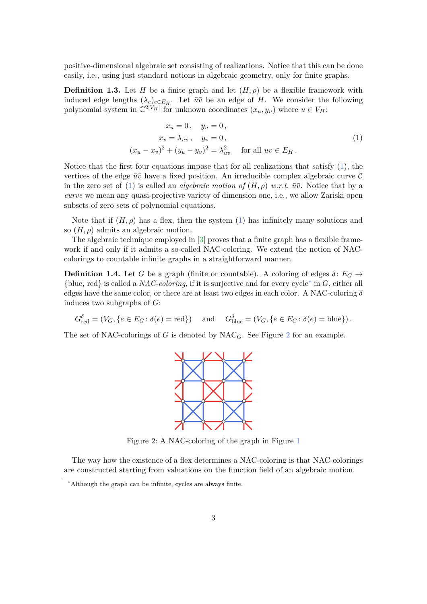positive-dimensional algebraic set consisting of realizations. Notice that this can be done easily, i.e., using just standard notions in algebraic geometry, only for finite graphs.

**Definition 1.3.** Let *H* be a finite graph and let  $(H, \rho)$  be a flexible framework with induced edge lengths  $(\lambda_e)_{e \in E_H}$ . Let  $\bar{u}\bar{v}$  be an edge of *H*. We consider the following polynomial system in  $\mathbb{C}^{2|V_H|}$  for unknown coordinates  $(x_u, y_u)$  where  $u \in V_H$ :

<span id="page-2-0"></span>
$$
x_{\bar{u}} = 0, \quad y_{\bar{u}} = 0,
$$
  
\n
$$
x_{\bar{v}} = \lambda_{\bar{u}\bar{v}}, \quad y_{\bar{v}} = 0,
$$
  
\n
$$
(x_u - x_v)^2 + (y_u - y_v)^2 = \lambda_{uv}^2 \quad \text{for all } uv \in E_H.
$$
\n
$$
(1)
$$

Notice that the first four equations impose that for all realizations that satisfy  $(1)$ , the vertices of the edge  $\bar{u}\bar{v}$  have a fixed position. An irreducible complex algebraic curve  $\mathcal{C}$ in the zero set of [\(1\)](#page-2-0) is called an *algebraic motion of*  $(H, \rho)$  *w.r.t.*  $\bar{u} \bar{v}$ . Notice that by a *curve* we mean any quasi-projective variety of dimension one, i.e., we allow Zariski open subsets of zero sets of polynomial equations.

Note that if  $(H, \rho)$  has a flex, then the system [\(1\)](#page-2-0) has infinitely many solutions and so  $(H, \rho)$  admits an algebraic motion.

The algebraic technique employed in [\[3\]](#page-6-5) proves that a finite graph has a flexible framework if and only if it admits a so-called NAC-coloring. We extend the notion of NACcolorings to countable infinite graphs in a straightforward manner.

**Definition 1.4.** Let *G* be a graph (finite or countable). A coloring of edges  $\delta: E_G \rightarrow$ {blue, red} is called a *NAC-coloring*, if it is surjective and for every cycle[∗](#page-2-1) in *G*, either all edges have the same color, or there are at least two edges in each color. A NAC-coloring *δ* induces two subgraphs of *G*:

$$
G_{\text{red}}^{\delta} = (V_G, \{e \in E_G : \delta(e) = \text{red}\})
$$
 and  $G_{\text{blue}}^{\delta} = (V_G, \{e \in E_G : \delta(e) = \text{blue}\}).$ 

<span id="page-2-2"></span>The set of NAC-colorings of *G* is denoted by  $NAC_G$ . See Figure [2](#page-2-2) for an example.



Figure 2: A NAC-coloring of the graph in Figure [1](#page-0-0)

The way how the existence of a flex determines a NAC-coloring is that NAC-colorings are constructed starting from valuations on the function field of an algebraic motion.

<span id="page-2-1"></span><sup>∗</sup>Although the graph can be infinite, cycles are always finite.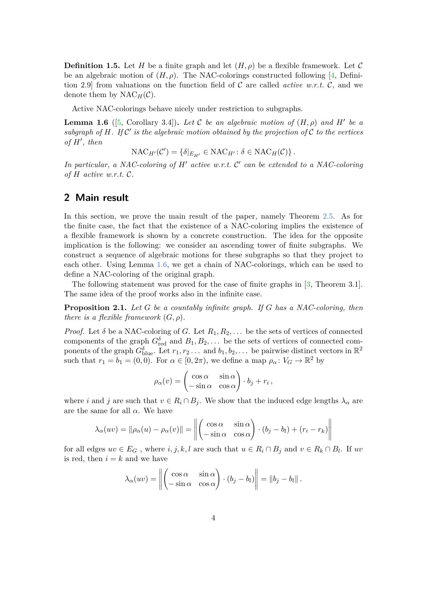**Definition 1.5.** Let *H* be a finite graph and let  $(H, \rho)$  be a flexible framework. Let C be an algebraic motion of  $(H, \rho)$ . The NAC-colorings constructed following [\[4,](#page-6-8) Definition 2.9 from valuations on the function field of  $\mathcal C$  are called *active w.r.t.*  $\mathcal C$ , and we denote them by  $NAC_H(\mathcal{C})$ .

Active NAC-colorings behave nicely under restriction to subgraphs.

<span id="page-3-1"></span>**Lemma 1.6** ([\[5,](#page-6-7) Corollary 3.4]). Let C be an algebraic motion of  $(H, \rho)$  and H<sup>t</sup> be a subgraph of  $H$ . If  $\mathcal{C}'$  is the algebraic motion obtained by the projection of  $\mathcal C$  to the vertices  $of H', then$ 

$$
\mathrm{NAC}_{H'}(\mathcal{C}') = \{ \delta |_{E_{H'}} \in \mathrm{NAC}_{H'} \colon \delta \in \mathrm{NAC}_{H}(\mathcal{C}) \}.
$$

In particular, a NAC-coloring of  $H'$  active w.r.t.  $C'$  can be extended to a NAC-coloring *of*  $H$  *active w.r.t.*  $C$ *.* 

## <span id="page-3-0"></span>**2 Main result**

In this section, we prove the main result of the paper, namely Theorem [2.5.](#page-5-0) As for the finite case, the fact that the existence of a NAC-coloring implies the existence of a flexible framework is shown by a concrete construction. The idea for the opposite implication is the following: we consider an ascending tower of finite subgraphs. We construct a sequence of algebraic motions for these subgraphs so that they project to each other. Using Lemma [1.6,](#page-3-1) we get a chain of NAC-colorings, which can be used to define a NAC-coloring of the original graph.

The following statement was proved for the case of finite graphs in [\[3,](#page-6-5) Theorem 3.1]. The same idea of the proof works also in the infinite case.

<span id="page-3-2"></span>**Proposition 2.1.** *Let G be a countably infinite graph. If G has a NAC-coloring, then there is a flexible framework*  $(G, \rho)$ *.* 

*Proof.* Let  $\delta$  be a NAC-coloring of *G*. Let  $R_1, R_2, \ldots$  be the sets of vertices of connected components of the graph  $G_{\text{red}}^{\delta}$  and  $B_1, B_2, \ldots$  be the sets of vertices of connected components of the graph  $G_{\text{blue}}^{\delta}$ . Let  $r_1, r_2, \ldots$  and  $b_1, b_2, \ldots$  be pairwise distinct vectors in  $\mathbb{R}^2$ such that  $r_1 = b_1 = (0, 0)$ . For  $\alpha \in [0, 2\pi)$ , we define a map  $\rho_\alpha : V_G \to \mathbb{R}^2$  by

$$
\rho_{\alpha}(v) = \begin{pmatrix} \cos \alpha & \sin \alpha \\ -\sin \alpha & \cos \alpha \end{pmatrix} \cdot b_j + r_i ,
$$

where *i* and *j* are such that  $v \in R_i \cap B_j$ . We show that the induced edge lengths  $\lambda_{\alpha}$  are are the same for all  $\alpha$ . We have

$$
\lambda_{\alpha}(uv) = \|\rho_{\alpha}(u) - \rho_{\alpha}(v)\| = \left\| \begin{pmatrix} \cos \alpha & \sin \alpha \\ -\sin \alpha & \cos \alpha \end{pmatrix} \cdot (b_j - b_l) + (r_i - r_k) \right\|
$$

for all edges  $uv \in E_G$ , where  $i, j, k, l$  are such that  $u \in R_i \cap B_j$  and  $v \in R_k \cap B_l$ . If  $uv$ is red, then  $i = k$  and we have

$$
\lambda_{\alpha}(uv) = \left\| \begin{pmatrix} \cos \alpha & \sin \alpha \\ -\sin \alpha & \cos \alpha \end{pmatrix} \cdot (b_j - b_l) \right\| = \left\| b_j - b_l \right\|.
$$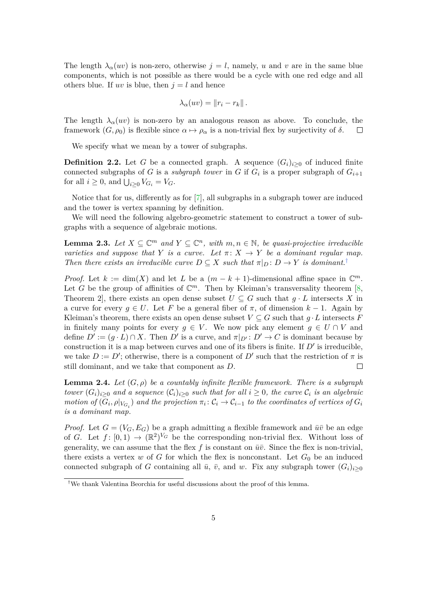The length  $\lambda_{\alpha}(uv)$  is non-zero, otherwise  $j = l$ , namely, *u* and *v* are in the same blue components, which is not possible as there would be a cycle with one red edge and all others blue. If *uv* is blue, then  $j = l$  and hence

$$
\lambda_{\alpha}(uv)=\|r_i-r_k\|.
$$

The length  $\lambda_{\alpha}(uv)$  is non-zero by an analogous reason as above. To conclude, the framework  $(G, \rho_0)$  is flexible since  $\alpha \mapsto \rho_\alpha$  is a non-trivial flex by surjectivity of  $\delta$ .  $\Box$ 

We specify what we mean by a tower of subgraphs.

**Definition 2.2.** Let *G* be a connected graph. A sequence  $(G_i)_{i\geq 0}$  of induced finite connected subgraphs of *G* is a *subgraph tower* in *G* if  $G_i$  is a proper subgraph of  $G_{i+1}$ for all  $i \geq 0$ , and  $\bigcup_{i \geq 0} V_{G_i} = V_G$ .

Notice that for us, differently as for [\[7\]](#page-6-4), all subgraphs in a subgraph tower are induced and the tower is vertex spanning by definition.

We will need the following algebro-geometric statement to construct a tower of subgraphs with a sequence of algebraic motions.

<span id="page-4-1"></span>**Lemma 2.3.** Let  $X \subseteq \mathbb{C}^m$  and  $Y \subseteq \mathbb{C}^n$ , with  $m, n \in \mathbb{N}$ , be quasi-projective irreducible *varieties and suppose that Y is a curve.* Let  $\pi$ :  $X \to Y$  *be a dominant regular map. Then there exists an irreducible curve*  $D \subseteq X$  *such that*  $\pi|_D : D \to Y$  *is dominant.*<sup>[†](#page-4-0)</sup>

*Proof.* Let  $k := \dim(X)$  and let *L* be a  $(m - k + 1)$ -dimensional affine space in  $\mathbb{C}^m$ . Let G be the group of affinities of  $\mathbb{C}^m$ . Then by Kleiman's transversality theorem [\[8,](#page-6-9) Theorem 2, there exists an open dense subset  $U \subseteq G$  such that  $g \cdot L$  intersects X in a curve for every  $q \in U$ . Let F be a general fiber of  $\pi$ , of dimension  $k-1$ . Again by Kleiman's theorem, there exists an open dense subset  $V \subseteq G$  such that  $g \cdot L$  intersects  $F$ in finitely many points for every  $q \in V$ . We now pick any element  $q \in U \cap V$  and define  $D' := (g \cdot L) \cap X$ . Then  $D'$  is a curve, and  $\pi|_{D'} : D' \to C$  is dominant because by construction it is a map between curves and one of its fibers is finite. If  $D'$  is irreducible, we take  $D := D'$ ; otherwise, there is a component of  $D'$  such that the restriction of  $\pi$  is still dominant, and we take that component as *D*.  $\Box$ 

<span id="page-4-2"></span>**Lemma 2.4.** Let  $(G, \rho)$  be a countably infinite flexible framework. There is a subgraph *tower*  $(G_i)_{i\geq 0}$  *and a sequence*  $(C_i)_{i\geq 0}$  *such that for all*  $i \geq 0$ *, the curve*  $C_i$  *is an algebraic motion of*  $(G_i, \rho|_{V_{G_i}})$  *and the projection*  $\pi_i \colon C_i \to C_{i-1}$  *to the coordinates of vertices of*  $G_i$ *is a dominant map.*

*Proof.* Let  $G = (V_G, E_G)$  be a graph admitting a flexible framework and  $\bar{u}\bar{v}$  be an edge of *G*. Let  $f: [0,1) \to (\mathbb{R}^2)^{V_G}$  be the corresponding non-trivial flex. Without loss of generality, we can assume that the flex  $f$  is constant on  $\bar{u}\bar{v}$ . Since the flex is non-trivial, there exists a vertex  $w$  of  $G$  for which the flex is nonconstant. Let  $G_0$  be an induced connected subgraph of *G* containing all  $\bar{u}$ ,  $\bar{v}$ , and *w*. Fix any subgraph tower  $(G_i)_{i>0}$ 

<span id="page-4-0"></span><sup>†</sup>We thank Valentina Beorchia for useful discussions about the proof of this lemma.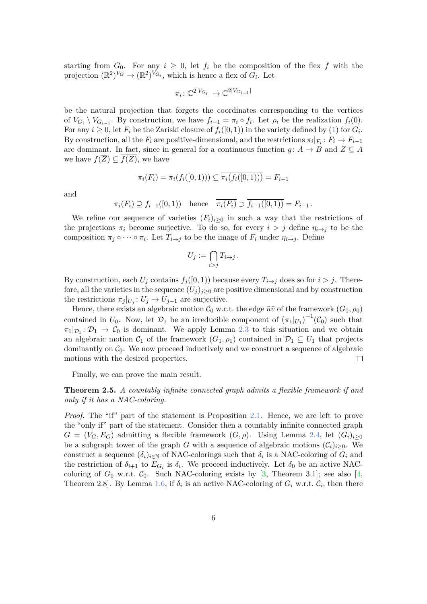starting from  $G_0$ . For any  $i \geq 0$ , let  $f_i$  be the composition of the flex f with the projection  $(\mathbb{R}^2)^{V_G} \to (\mathbb{R}^2)^{V_{G_i}}$ , which is hence a flex of  $G_i$ . Let

$$
\pi_i \colon \mathbb{C}^{2|V_{G_i}|} \to \mathbb{C}^{2|V_{G_{i-1}}|}
$$

be the natural projection that forgets the coordinates corresponding to the vertices of  $V_{G_i} \setminus V_{G_{i-1}}$ . By construction, we have  $f_{i-1} = \pi_i \circ f_i$ . Let  $\rho_i$  be the realization  $f_i(0)$ . For any  $i \geq 0$ , let  $F_i$  be the Zariski closure of  $f_i([0,1))$  in the variety defined by [\(1\)](#page-2-0) for  $G_i$ . By construction, all the  $F_i$  are positive-dimensional, and the restrictions  $\pi_i|_{F_i}: F_i \to F_{i-1}$ are dominant. In fact, since in general for a continuous function  $g: A \to B$  and  $Z \subseteq A$ we have  $f(Z) \subseteq f(Z)$ , we have

$$
\pi_i(F_i) = \pi_i(\overline{f_i([0,1))}) \subseteq \overline{\pi_i(f_i([0,1)))} = F_{i-1}
$$

and

$$
\pi_i(F_i) \supseteq f_{i-1}([0,1)) \quad \text{hence} \quad \overline{\pi_i(F_i)} \supseteq \overline{f_{i-1}([0,1))} = F_{i-1}.
$$

We refine our sequence of varieties  $(F_i)_{i>0}$  in such a way that the restrictions of the projections  $\pi_i$  become surjective. To do so, for every  $i > j$  define  $\eta_{i \to j}$  to be the composition  $\pi_j \circ \cdots \circ \pi_i$ . Let  $T_{i \to j}$  to be the image of  $F_i$  under  $\eta_{i \to j}$ . Define

$$
U_j := \bigcap_{i>j} T_{i \to j} \, .
$$

By construction, each  $U_j$  contains  $f_j([0,1))$  because every  $T_{i\to j}$  does so for  $i > j$ . Therefore, all the varieties in the sequence  $(U_j)_{j\geq0}$  are positive dimensional and by construction the restrictions  $\pi_j|_{U_j}: U_j \to U_{j-1}$  are surjective.

Hence, there exists an algebraic motion  $C_0$  w.r.t. the edge  $\bar{u}\bar{v}$  of the framework  $(G_0, \rho_0)$ contained in  $U_0$ . Now, let  $\mathcal{D}_1$  be an irreducible component of  $(\pi_1|_{U_1})^{-1}(\mathcal{C}_0)$  such that  $\pi_1|_{\mathcal{D}_1} \colon \mathcal{D}_1 \to \mathcal{C}_0$  is dominant. We apply Lemma [2.3](#page-4-1) to this situation and we obtain an algebraic motion  $\mathcal{C}_1$  of the framework  $(G_1, \rho_1)$  contained in  $\mathcal{D}_1 \subseteq U_1$  that projects dominantly on  $C_0$ . We now proceed inductively and we construct a sequence of algebraic motions with the desired properties.  $\Box$ 

Finally, we can prove the main result.

<span id="page-5-0"></span>**Theorem 2.5.** *A countably infinite connected graph admits a flexible framework if and only if it has a NAC-coloring.*

*Proof.* The "if" part of the statement is Proposition [2.1.](#page-3-2) Hence, we are left to prove the "only if" part of the statement. Consider then a countably infinite connected graph  $G = (V_G, E_G)$  admitting a flexible framework  $(G, \rho)$ . Using Lemma [2.4,](#page-4-2) let  $(G_i)_{i>0}$ be a subgraph tower of the graph *G* with a sequence of algebraic motions  $(\mathcal{C}_i)_{i\geq 0}$ . We construct a sequence  $(\delta_i)_{i \in \mathbb{N}}$  of NAC-colorings such that  $\delta_i$  is a NAC-coloring of  $G_i$  and the restriction of  $\delta_{i+1}$  to  $E_{G_i}$  is  $\delta_i$ . We proceed inductively. Let  $\delta_0$  be an active NACcoloring of  $G_0$  w.r.t.  $C_0$ . Such NAC-coloring exists by [\[3,](#page-6-5) Theorem 3.1]; see also [\[4,](#page-6-8) Theorem 2.8. By Lemma [1.6,](#page-3-1) if  $\delta_i$  is an active NAC-coloring of  $G_i$  w.r.t.  $\mathcal{C}_i$ , then there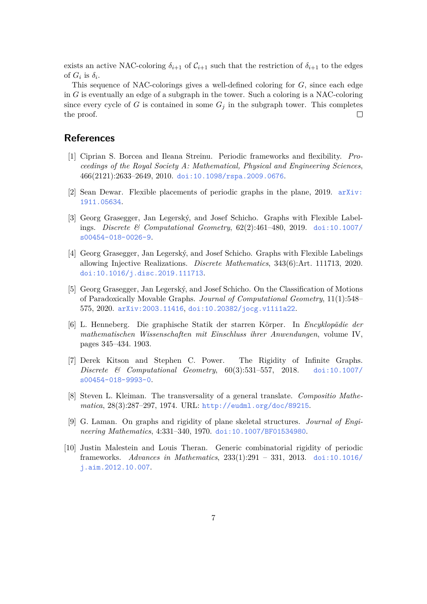exists an active NAC-coloring  $\delta_{i+1}$  of  $\mathcal{C}_{i+1}$  such that the restriction of  $\delta_{i+1}$  to the edges of  $G_i$  is  $\delta_i$ .

This sequence of NAC-colorings gives a well-defined coloring for *G*, since each edge in *G* is eventually an edge of a subgraph in the tower. Such a coloring is a NAC-coloring since every cycle of *G* is contained in some  $G_j$  in the subgraph tower. This completes the proof.  $\Box$ 

## **References**

- <span id="page-6-2"></span>[1] Ciprian S. Borcea and Ileana Streinu. Periodic frameworks and flexibility. *Proceedings of the Royal Society A: Mathematical, Physical and Engineering Sciences*, 466(2121):2633–2649, 2010. [doi:10.1098/rspa.2009.0676](http://dx.doi.org/10.1098/rspa.2009.0676).
- <span id="page-6-6"></span>[2] Sean Dewar. Flexible placements of periodic graphs in the plane, 2019. [arXiv:](http://arxiv.org/abs/1911.05634) [1911.05634](http://arxiv.org/abs/1911.05634).
- <span id="page-6-5"></span>[3] Georg Grasegger, Jan Legerský, and Josef Schicho. Graphs with Flexible Labelings. *Discrete & Computational Geometry*, 62(2):461–480, 2019. [doi:10.1007/](http://dx.doi.org/10.1007/s00454-018-0026-9) [s00454-018-0026-9](http://dx.doi.org/10.1007/s00454-018-0026-9).
- <span id="page-6-8"></span>[4] Georg Grasegger, Jan Legerský, and Josef Schicho. Graphs with Flexible Labelings allowing Injective Realizations. *Discrete Mathematics*, 343(6):Art. 111713, 2020. [doi:10.1016/j.disc.2019.111713](http://dx.doi.org/10.1016/j.disc.2019.111713).
- <span id="page-6-7"></span>[5] Georg Grasegger, Jan Legerský, and Josef Schicho. On the Classification of Motions of Paradoxically Movable Graphs. *Journal of Computational Geometry*, 11(1):548– 575, 2020. [arXiv:2003.11416](http://arxiv.org/abs/2003.11416), [doi:10.20382/jocg.v11i1a22](http://dx.doi.org/10.20382/jocg.v11i1a22).
- <span id="page-6-1"></span>[6] L. Henneberg. Die graphische Statik der starren Körper. In *Encyklopädie der mathematischen Wissenschaften mit Einschluss ihrer Anwendungen*, volume IV, pages 345–434. 1903.
- <span id="page-6-4"></span>[7] Derek Kitson and Stephen C. Power. The Rigidity of Infinite Graphs. *Discrete & Computational Geometry*, 60(3):531–557, 2018. [doi:10.1007/](http://dx.doi.org/10.1007/s00454-018-9993-0) [s00454-018-9993-0](http://dx.doi.org/10.1007/s00454-018-9993-0).
- <span id="page-6-9"></span>[8] Steven L. Kleiman. The transversality of a general translate. *Compositio Mathematica*, 28(3):287–297, 1974. URL: <http://eudml.org/doc/89215>.
- <span id="page-6-0"></span>[9] G. Laman. On graphs and rigidity of plane skeletal structures. *Journal of Engineering Mathematics*, 4:331–340, 1970. [doi:10.1007/BF01534980](http://dx.doi.org/10.1007/BF01534980).
- <span id="page-6-3"></span>[10] Justin Malestein and Louis Theran. Generic combinatorial rigidity of periodic frameworks. *Advances in Mathematics*, 233(1):291 – 331, 2013. [doi:10.1016/](http://dx.doi.org/10.1016/j.aim.2012.10.007) [j.aim.2012.10.007](http://dx.doi.org/10.1016/j.aim.2012.10.007).